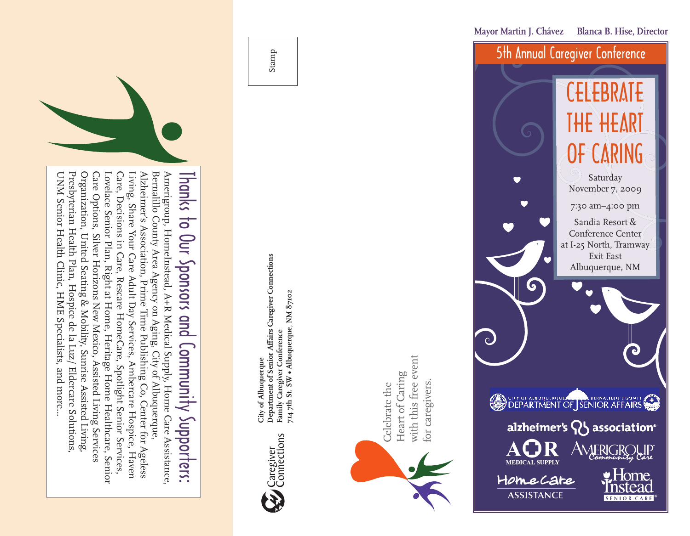

# Amerigroup,HomeInstead, A+R Medical Supply, Home Care Assistance, Thanks to Our Sponsors andCommunity Supporters:

UNM Senior Health Clinic, HME Specialists, and more... Presbyterian Health Plan, Hospice de la Luz/ Eldercare Solutions, Organization, United Seating & Mobility, Sunrise Assisted Living, Care Options, Silver Horizons New Mexico, Assisted Living Services Lovelace Senior Plan, Right at Home, Heritage Home Healthcare, Senior Care, Decisions in Care, Rescare HomeCare, Spotlight Senior Services, Living, Share Your Care Adult Day Services, Ambercare Hospice, Haven Alzheimer's Association, Prime Time Publishing Co, Center for Ageless Bernalillo County Area Agency on Aging, City ofAlbuquerque,



Department of Senior Affairs Caregiver Connections<br>Family Caregiver Conference<br>714 7th St. SW • Albuquerque, NM 87102 **Department of Senior Affairs Caregiver Connections 714 7th St. SW • Albuquerque, NM 87102 Family Caregiver Conference** City of Albuquerque **City of Albuquerque**

Stamp



G for caregivers.



**Mayor Martin J. Chávez Blanca B. Hise, Director**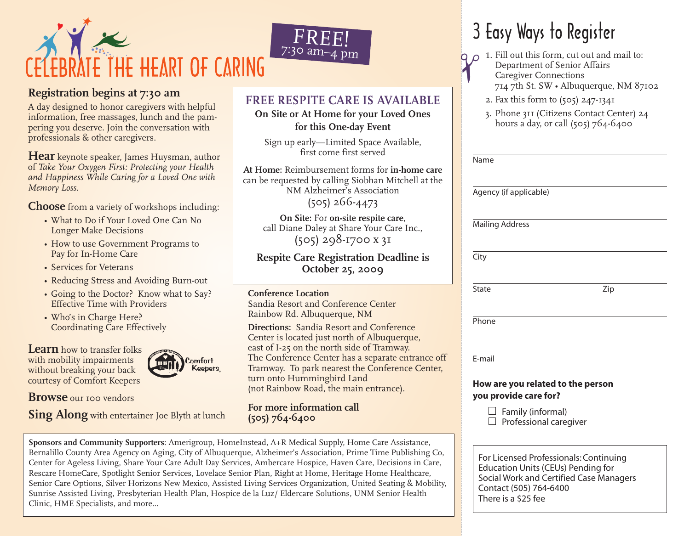

# **Registration begins at 7:30 am**

A day designed to honor caregivers with helpful information, free massages, lunch and the pampering you deserve. Join the conversation with professionals & other caregivers.

**Hear** keynote speaker, James Huysman, author of *Take Your Oxygen First: Protecting your Health and Happiness While Caring for a Loved One with Memory Loss*.

**Choose** from a variety of workshops including:

- What to Do if Your Loved One Can No Longer Make Decisions
- How to use Government Programs to Pay for In-Home Care
- Services for Veterans
- Reducing Stress and Avoiding Burn-out
- Going to the Doctor? Know what to Say? Effective Time with Providers
- Who's in Charge Here? Coordinating Care Effectively

**Learn** how to transfer folks with mobility impairments without breaking your back courtesy of Comfort Keepers

Comfort **Keepers** 

**Browse** our 100 vendors

**Sing Along** with entertainer Joe Blyth at lunch

# **FREE RESPITE CARE IS AVAILABLE**

FREE!

**On Site or At Home for your Loved Ones for this One-day Event**

Sign up early—Limited Space Available, first come first served

**At Home:** Reimbursement forms for **in-home care** can be requested by calling Siobhan Mitchell at the NM Alzheimer's Association

(505) 266-4473

**On Site:** For **on-site respite care**, call Diane Daley at Share Your Care Inc., (505) 298-1700 x 31

**Respite Care Registration Deadline is October 25, 2009**

#### **Conference Location**

Sandia Resort and Conference Center Rainbow Rd. Albuquerque, NM

**Directions:** Sandia Resort and Conference Center is located just north of Albuquerque, east of I-25 on the north side of Tramway. The Conference Center has a separate entrance off Tramway. To park nearest the Conference Center, turn onto Hummingbird Land (not Rainbow Road, the main entrance).

**For more information call (505) 764-6400**

**Sponsors and Community Supporters**: Amerigroup, HomeInstead, A+R Medical Supply, Home Care Assistance, Bernalillo County Area Agency on Aging, City of Albuquerque, Alzheimer's Association, Prime Time Publishing Co, Center for Ageless Living, Share Your Care Adult Day Services, Ambercare Hospice, Haven Care, Decisions in Care, Rescare HomeCare, Spotlight Senior Services, Lovelace Senior Plan, Right at Home, Heritage Home Healthcare, Senior Care Options, Silver Horizons New Mexico, Assisted Living Services Organization, United Seating & Mobility, Sunrise Assisted Living, Presbyterian Health Plan, Hospice de la Luz/ Eldercare Solutions, UNM Senior Health Clinic, HME Specialists, and more...

# 3 Easy Ways to Register

- **1**. Fill out this form, cut out and mail to: Department of Senior Affairs Caregiver Connections 714 7th St. SW • Albuquerque, NM 87102  $\gamma$ 
	- 2. Fax this form to (505) 247-1341
	- 3. Phone 311 (Citizens Contact Center) 24 hours a day, or call (505) 764-6400

| Name         |                                                            |     |  |
|--------------|------------------------------------------------------------|-----|--|
|              | Agency (if applicable)                                     |     |  |
|              | <b>Mailing Address</b>                                     |     |  |
| City         |                                                            |     |  |
| <b>State</b> |                                                            | Zip |  |
| Phone        |                                                            |     |  |
| E-mail       |                                                            |     |  |
|              | How are you related to the person<br>you provide care for? |     |  |
|              | Family (informal)<br>Professional caregiver                |     |  |
|              |                                                            |     |  |

For Licensed Professionals: Continuing Education Units (CEUs) Pending for Social Work and Certified Case Managers Contact (505) 764-6400 There is a \$25 fee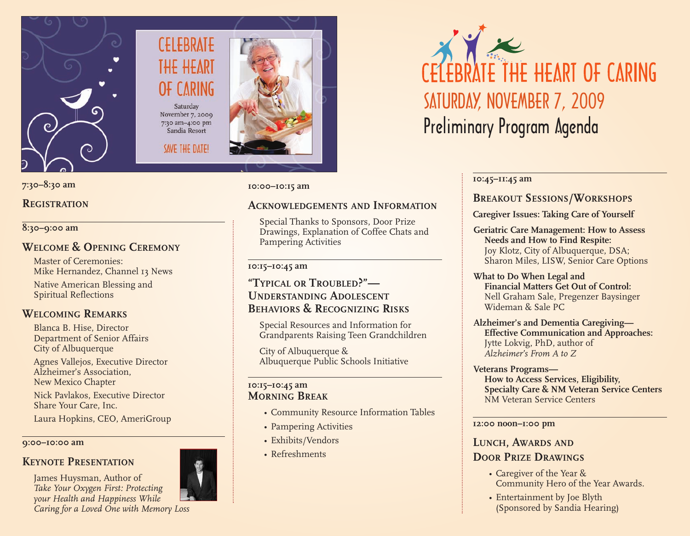

# **CELEBRATE** THE HEARI **CARING** Saturday November 7, 2009

7:30 am-4:00 pm Sandia Resort

SAVE THE DATE!

# **7:30–8:30 am**

# **REGISTRATION**

#### **8:30–9:00 am**

# **WELCOME & OPENING CEREMONY**

Master of Ceremonies: Mike Hernandez, Channel 13 News Native American Blessing and Spiritual Reflections

# **WELCOMING REMARKS**

Blanca B. Hise, Director Department of Senior Affairs City of Albuquerque

Agnes Vallejos, Executive Director Alzheimer's Association, New Mexico Chapter

Nick Pavlakos, Executive Director Share Your Care, Inc.

Laura Hopkins, CEO, AmeriGroup

#### **9:00–10:00 am**

# **KEYNOTE PRESENTATION**

James Huysman, Author of *Take Your Oxygen First: Protecting your Health and Happiness While Caring for a Loved One with Memory Loss*





**10:45–11:45 am**

# **BREAKOUT SESSIONS/WORKSHOPS**

# **Caregiver Issues: Taking Care of Yourself**

**Geriatric Care Management: How to Assess Needs and How to Find Respite:** Joy Klotz, City of Albuquerque, DSA; Sharon Miles, LISW, Senior Care Options

#### **What to Do When Legal and Financial Matters Get Out of Control:** Nell Graham Sale, Pregenzer Baysinger Wideman & Sale PC

**Alzheimer's and Dementia Caregiving— Effective Communication and Approaches:** Jytte Lokvig, PhD, author of *Alzheimer's From A to Z*

#### **Veterans Programs— How to Access Services, Eligibility, Specialty Care & NM Veteran Service Centers** NM Veteran Service Centers

#### **12:00 noon–1:00 pm**

# **LUNCH, AWARDS AND DOOR PRIZE DRAWINGS**

- Caregiver of the Year & Community Hero of the Year Awards.
- Entertainment by Joe Blyth (Sponsored by Sandia Hearing)

Albuquerque Public Schools Initiative

### **10:15–10:45 am MORNING BREAK**

- Community Resource Information Tables
- Pampering Activities
- Exhibits/Vendors
- Refreshments

**10:00–10:15 am**

# **ACKNOWLEDGEMENTS AND INFORMATION**

Special Thanks to Sponsors, Door Prize Drawings, Explanation of Coffee Chats and Pampering Activities

# **10:15–10:45 am**

# **"TYPICAL OR TROUBLED?"— UNDERSTANDING ADOLESCENT BEHAVIORS & RECOGNIZING RISKS**

Special Resources and Information for Grandparents Raising Teen Grandchildren

City of Albuquerque &